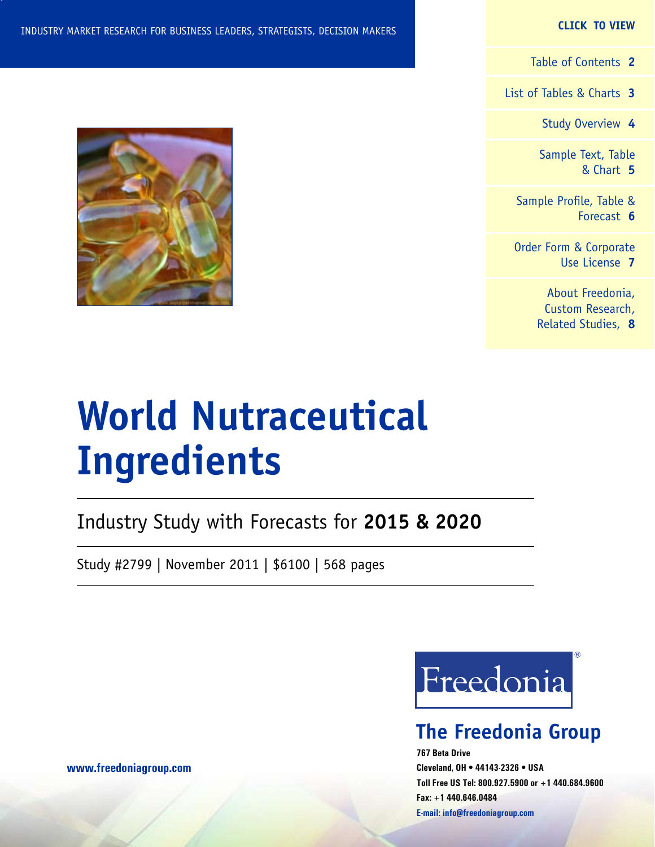#### **CLICK TO VIEW**

[Table of Contents](#page-1-0) **2**

[List of Tables & Charts](#page-3-0) **3**

[Study Overview](#page-5-0) **4**

[Sample Text, Table](#page-6-0) [& Chart](#page-6-0) **5**

[Sample Profile, Table &](#page-7-0) [Forecast](#page-7-0) **6**

[Order Form & Corporate](#page-8-0) [Use License](#page-8-0) **7**

> [About Freedonia,](#page-9-0) [Custom Research,](#page-9-0) [Related Studies,](#page-9-0) **8**

# **World Nutraceutical Ingredients**

Industry Study with Forecasts for **2015 & 2020**

Study #2799 | November 2011 | \$6100 | 568 pages



### **The Freedonia Group**

**767 Beta Drive Cleveland, OH • 44143-2326 • USA Toll Free US Tel: 800.927.5900 or +1 440.684.9600 Fax: +1 440.646.0484 E-mail: [info@freedoniagroup.com](mailto:info@freedoniagroup.com)**



**[www.freedoniagroup.com](http://www.freedoniagroup.com/Home.aspx?ReferrerId=FM-Bro)**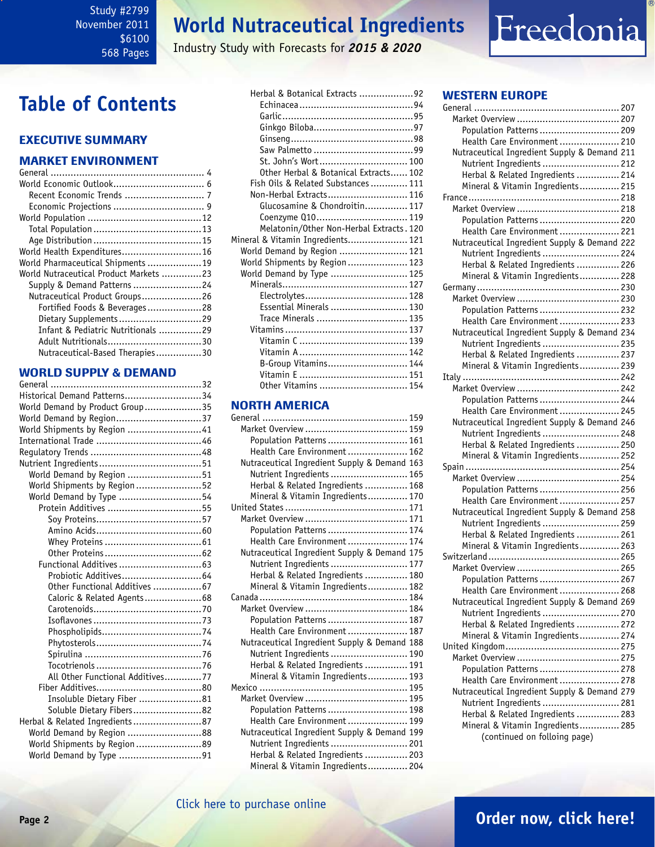## **World Nutraceutical Ingredients**

Industry Study with Forecasts for *2015 & 2020*

## <span id="page-1-0"></span>**Table of Contents**

### Executive Summary

### Market EnvironmenT

| World Pharmaceutical Shipments 19      |  |
|----------------------------------------|--|
| World Nutraceutical Product Markets 23 |  |
| Supply & Demand Patterns 24            |  |
| Nutraceutical Product Groups26         |  |
| Fortified Foods & Beverages28          |  |
| Dietary Supplements29                  |  |
| Infant & Pediatric Nutritionals 29     |  |
|                                        |  |
| Nutraceutical-Based Therapies30        |  |

### WORLD SUPPLY & DEMAND

| Historical Demand Patterns34     |  |
|----------------------------------|--|
| World Demand by Product Group35  |  |
| World Demand by Region37         |  |
| World Shipments by Region 41     |  |
|                                  |  |
|                                  |  |
|                                  |  |
| World Demand by Region 51        |  |
| World Shipments by Region 52     |  |
| World Demand by Type 54          |  |
| Protein Additives 55             |  |
|                                  |  |
|                                  |  |
|                                  |  |
|                                  |  |
|                                  |  |
|                                  |  |
| Other Functional Additives 67    |  |
| Caloric & Related Agents68       |  |
|                                  |  |
|                                  |  |
|                                  |  |
|                                  |  |
|                                  |  |
|                                  |  |
| All Other Functional Additives77 |  |
|                                  |  |
| Insoluble Dietary Fiber 81       |  |
| Soluble Dietary Fibers82         |  |
| Herbal & Related Ingredients 87  |  |
| World Demand by Region 88        |  |
| World Shipments by Region89      |  |
| World Demand by Type 91          |  |

| Herbal & Botanical Extracts 92           |  |
|------------------------------------------|--|
|                                          |  |
|                                          |  |
|                                          |  |
|                                          |  |
|                                          |  |
| St. John's Wort 100                      |  |
| Other Herbal & Botanical Extracts 102    |  |
| Fish Oils & Related Substances 111       |  |
| Non-Herbal Extracts 116                  |  |
| Glucosamine & Chondroitin 117            |  |
| Coenzyme Q10 119                         |  |
| Melatonin/Other Non-Herbal Extracts. 120 |  |
| Mineral & Vitamin Ingredients 121        |  |
| World Demand by Region  121              |  |
| World Shipments by Region  123           |  |
| World Demand by Type  125                |  |
|                                          |  |
|                                          |  |
| Essential Minerals  130                  |  |
| Trace Minerals  135                      |  |
|                                          |  |
|                                          |  |
|                                          |  |
| B-Group Vitamins 144                     |  |
|                                          |  |
| Other Vitamins  154                      |  |

## **NORTH AMERICA**<br>General ........................

| Population Patterns  161                     |  |
|----------------------------------------------|--|
| Health Care Environment 162                  |  |
| Nutraceutical Ingredient Supply & Demand 163 |  |
| Nutrient Ingredients  165                    |  |
| Herbal & Related Ingredients  168            |  |
| Mineral & Vitamin Ingredients 170            |  |
|                                              |  |
|                                              |  |
| Population Patterns  174                     |  |
| Health Care Environment  174                 |  |
| Nutraceutical Ingredient Supply & Demand 175 |  |
| Nutrient Ingredients  177                    |  |
| Herbal & Related Ingredients  180            |  |
| Mineral & Vitamin Ingredients 182            |  |
|                                              |  |
|                                              |  |
| Population Patterns  187                     |  |
| Health Care Environment  187                 |  |
| Nutraceutical Ingredient Supply & Demand 188 |  |
| Nutrient Ingredients  190                    |  |
| Herbal & Related Ingredients  191            |  |
| Mineral & Vitamin Ingredients 193            |  |
|                                              |  |
|                                              |  |
| Population Patterns  198                     |  |
| Health Care Environment 199                  |  |
| Nutraceutical Ingredient Supply & Demand 199 |  |
| Nutrient Ingredients  201                    |  |
| Herbal & Related Ingredients  203            |  |
| Mineral & Vitamin Ingredients 204            |  |

### WESTERN EUROPE

Freedonia

| Population Patterns  209                     |  |
|----------------------------------------------|--|
| Health Care Environment  210                 |  |
| Nutraceutical Ingredient Supply & Demand 211 |  |
| Nutrient Ingredients  212                    |  |
| Herbal & Related Ingredients  214            |  |
| Mineral & Vitamin Ingredients 215            |  |
|                                              |  |
|                                              |  |
| Population Patterns  220                     |  |
|                                              |  |
| Health Care Environment  221                 |  |
| Nutraceutical Ingredient Supply & Demand 222 |  |
| Nutrient Ingredients  224                    |  |
| Herbal & Related Ingredients  226            |  |
| Mineral & Vitamin Ingredients 228            |  |
|                                              |  |
|                                              |  |
| Population Patterns  232                     |  |
| Health Care Environment  233                 |  |
| Nutraceutical Ingredient Supply & Demand 234 |  |
| Nutrient Ingredients  235                    |  |
| Herbal & Related Ingredients  237            |  |
| Mineral & Vitamin Ingredients 239            |  |
|                                              |  |
|                                              |  |
| Population Patterns  244                     |  |
| Health Care Environment  245                 |  |
| Nutraceutical Ingredient Supply & Demand 246 |  |
| Nutrient Ingredients  248                    |  |
| Herbal & Related Ingredients  250            |  |
| Mineral & Vitamin Ingredients 252            |  |
|                                              |  |
|                                              |  |
| Population Patterns  256                     |  |
| Health Care Environment  257                 |  |
| Nutraceutical Ingredient Supply & Demand 258 |  |
| Nutrient Ingredients  259                    |  |
| Herbal & Related Ingredients  261            |  |
| Mineral & Vitamin Ingredients 263            |  |
|                                              |  |
|                                              |  |
| Population Patterns  267                     |  |
| Health Care Environment 268                  |  |
| Nutraceutical Ingredient Supply & Demand 269 |  |
| Nutrient Ingredients  270                    |  |
| Herbal & Related Ingredients  272            |  |
| Mineral & Vitamin Ingredients 274            |  |
|                                              |  |
|                                              |  |
|                                              |  |
| Population Patterns  278                     |  |
| Health Care Environment  278                 |  |
| Nutraceutical Ingredient Supply & Demand 279 |  |
| Nutrient Ingredients  281                    |  |
| Herbal & Related Ingredients  283            |  |
| Mineral & Vitamin Ingredients 285            |  |
| (continued on folloing page)                 |  |

### **Page 2 [Order now, click here!](#page-8-0)**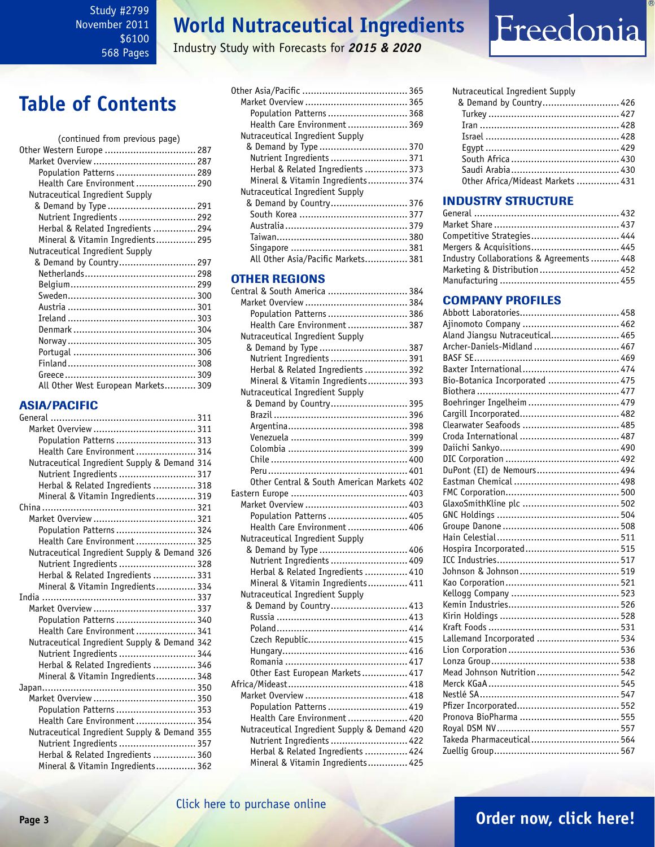## **World Nutraceutical Ingredients**

Industry Study with Forecasts for *2015 & 2020*

# Freedonia

## **Table of Contents**

| (continued from previous page)      |  |
|-------------------------------------|--|
| Other Western Europe  287           |  |
|                                     |  |
| Population Patterns  289            |  |
| Health Care Environment 290         |  |
| Nutraceutical Ingredient Supply     |  |
| & Demand by Type  291               |  |
| Nutrient Ingredients  292           |  |
| Herbal & Related Ingredients  294   |  |
| Mineral & Vitamin Ingredients 295   |  |
| Nutraceutical Ingredient Supply     |  |
| & Demand by Country 297             |  |
|                                     |  |
|                                     |  |
|                                     |  |
|                                     |  |
|                                     |  |
|                                     |  |
|                                     |  |
|                                     |  |
|                                     |  |
|                                     |  |
|                                     |  |
| All Other West European Markets 309 |  |
|                                     |  |

### ASIA/PACIFIC

| Population Patterns  313                     |  |
|----------------------------------------------|--|
| Health Care Environment 314                  |  |
| Nutraceutical Ingredient Supply & Demand 314 |  |
| Nutrient Ingredients  317                    |  |
| Herbal & Related Ingredients  318            |  |
| Mineral & Vitamin Ingredients 319            |  |
|                                              |  |
|                                              |  |
| Population Patterns  324                     |  |
| Health Care Environment 325                  |  |
| Nutraceutical Ingredient Supply & Demand 326 |  |
| Nutrient Ingredients  328                    |  |
| Herbal & Related Ingredients  331            |  |
| Mineral & Vitamin Ingredients 334            |  |
|                                              |  |
|                                              |  |
| Population Patterns  340                     |  |
| Health Care Environment  341                 |  |
| Nutraceutical Ingredient Supply & Demand 342 |  |
| Nutrient Ingredients  344                    |  |
| Herbal & Related Ingredients  346            |  |
| Mineral & Vitamin Ingredients 348            |  |
|                                              |  |
|                                              |  |
| Population Patterns  353                     |  |
| Health Care Environment 354                  |  |
| Nutraceutical Ingredient Supply & Demand 355 |  |
| Nutrient Ingredients  357                    |  |
| Herbal & Related Ingredients  360            |  |
| Mineral & Vitamin Ingredients 362            |  |

| Population Patterns  368           |  |
|------------------------------------|--|
| Health Care Environment 369        |  |
| Nutraceutical Ingredient Supply    |  |
| & Demand by Type  370              |  |
| Nutrient Ingredients  371          |  |
| Herbal & Related Ingredients  373  |  |
| Mineral & Vitamin Ingredients 374  |  |
| Nutraceutical Ingredient Supply    |  |
| & Demand by Country 376            |  |
|                                    |  |
|                                    |  |
|                                    |  |
|                                    |  |
| All Other Asia/Pacific Markets 381 |  |
|                                    |  |

### **OTHER REGIONS**<br>Central & South America

| Central & South America  384                 |  |
|----------------------------------------------|--|
|                                              |  |
| Population Patterns  386                     |  |
| Health Care Environment  387                 |  |
| Nutraceutical Ingredient Supply              |  |
| & Demand by Type  387                        |  |
| Nutrient Ingredients  391                    |  |
| Herbal & Related Ingredients  392            |  |
| Mineral & Vitamin Ingredients 393            |  |
| Nutraceutical Ingredient Supply              |  |
| & Demand by Country 395                      |  |
|                                              |  |
|                                              |  |
|                                              |  |
|                                              |  |
|                                              |  |
|                                              |  |
| Other Central & South American Markets 402   |  |
|                                              |  |
|                                              |  |
| Population Patterns  405                     |  |
| Health Care Environment  406                 |  |
| Nutraceutical Ingredient Supply              |  |
| & Demand by Type  406                        |  |
| Nutrient Ingredients  409                    |  |
| Herbal & Related Ingredients  410            |  |
| Mineral & Vitamin Ingredients 411            |  |
| Nutraceutical Ingredient Supply              |  |
| & Demand by Country 413                      |  |
|                                              |  |
|                                              |  |
|                                              |  |
|                                              |  |
|                                              |  |
| Other East European Markets 417              |  |
|                                              |  |
|                                              |  |
| Population Patterns  419                     |  |
| Health Care Environment  420                 |  |
| Nutraceutical Ingredient Supply & Demand 420 |  |
| Nutrient Ingredients  422                    |  |
| Herbal & Related Ingredients  424            |  |
| Mineral & Vitamin Ingredients 425            |  |

| Nutraceutical Ingredient Supply   |  |
|-----------------------------------|--|
| & Demand by Country 426           |  |
|                                   |  |
|                                   |  |
|                                   |  |
|                                   |  |
|                                   |  |
|                                   |  |
| Other Africa/Mideast Markets  431 |  |
|                                   |  |

### INDUSTRY STRUCTURE

| Competitive Strategies 444                |  |
|-------------------------------------------|--|
| Mergers & Acquisitions 445                |  |
| Industry Collaborations & Agreements  448 |  |
| Marketing & Distribution  452             |  |
|                                           |  |

### Company Profiles

| Ajinomoto Company  462          |  |
|---------------------------------|--|
| Aland Jiangsu Nutraceutical 465 |  |
| Archer-Daniels-Midland  467     |  |
|                                 |  |
| Baxter International 474        |  |
| Bio-Botanica Incorporated  475  |  |
|                                 |  |
| Boehringer Ingelheim  479       |  |
|                                 |  |
| Clearwater Seafoods  485        |  |
|                                 |  |
|                                 |  |
|                                 |  |
| DuPont (EI) de Nemours 494      |  |
|                                 |  |
|                                 |  |
|                                 |  |
|                                 |  |
|                                 |  |
|                                 |  |
| Hospira Incorporated 515        |  |
|                                 |  |
|                                 |  |
|                                 |  |
|                                 |  |
|                                 |  |
|                                 |  |
|                                 |  |
| Lallemand Incorporated  534     |  |
|                                 |  |
|                                 |  |
| Mead Johnson Nutrition  542     |  |
|                                 |  |
|                                 |  |
|                                 |  |
|                                 |  |
|                                 |  |
| Takeda Pharmaceutical 564       |  |
|                                 |  |
|                                 |  |

### **Page 3 [Order now, click here!](#page-8-0)**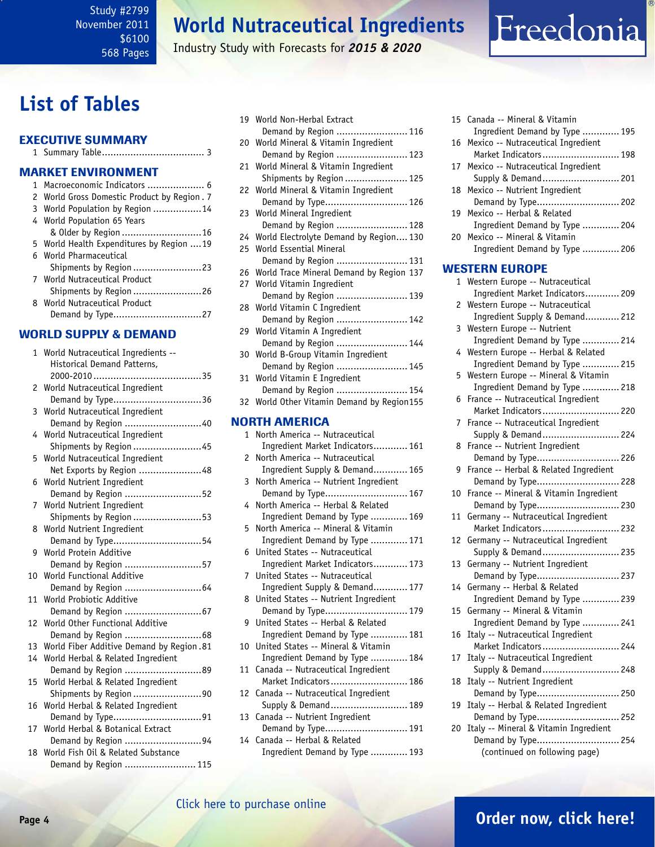## **World Nutraceutical Ingredients**

Industry Study with Forecasts for *2015 & 2020*

## <span id="page-3-0"></span>**List of Tables**

|  | <b>EXECUTIVE SUMMARY</b>  |  |
|--|---------------------------|--|
|  |                           |  |
|  | <b>MARKET ENVIRONMENT</b> |  |

| 1 Macroeconomic Indicators  6               |
|---------------------------------------------|
| 2 World Gross Domestic Product by Region. 7 |
| 3 World Population by Region 14             |
| 4 World Population 65 Years                 |
| & Older by Region  16                       |
| 5 World Health Expenditures by Region 19    |
| 6 World Pharmaceutical                      |
| Shipments by Region 23                      |
| 7 World Nutraceutical Product               |
| Shipments by Region 26                      |
| 8 World Nutraceutical Product               |
|                                             |

### WORLD SUPPLY & DEMAND

| 1  | World Nutraceutical Ingredients --                       |
|----|----------------------------------------------------------|
|    | <b>Historical Demand Patterns,</b>                       |
|    |                                                          |
| 2  | World Nutraceutical Ingredient                           |
|    | Demand by Type36                                         |
| 3  | World Nutraceutical Ingredient                           |
|    | Demand by Region 40                                      |
| 4  | World Nutraceutical Ingredient                           |
|    | Shipments by Region 45                                   |
| 5  | World Nutraceutical Ingredient                           |
|    | Net Exports by Region 48                                 |
| 6  | World Nutrient Ingredient                                |
|    | Demand by Region 52                                      |
| 7  | World Nutrient Ingredient                                |
|    | Shipments by Region 53                                   |
| 8  | World Nutrient Ingredient                                |
|    | Demand by Type54                                         |
| 9  | World Protein Additive                                   |
|    | Demand by Region 57                                      |
| 10 | World Functional Additive                                |
|    | Demand by Region  64                                     |
| 11 | World Probiotic Additive                                 |
|    | Demand by Region  67                                     |
| 12 | World Other Functional Additive                          |
| 13 | World Fiber Additive Demand by Region.81                 |
| 14 |                                                          |
|    | World Herbal & Related Ingredient<br>Demand by Region 89 |
| 15 | World Herbal & Related Ingredient                        |
|    | Shipments by Region 90                                   |
| 16 | World Herbal & Related Ingredient                        |
|    | Demand by Type91                                         |
| 17 | World Herbal & Botanical Extract                         |
|    | Demand by Region 94                                      |
| 18 | World Fish Oil & Related Substance                       |
|    | Demand by Region  115                                    |

| 19 | World Non-Herbal Extract                                           |
|----|--------------------------------------------------------------------|
|    | Demand by Region  116                                              |
| 20 | World Mineral & Vitamin Ingredient                                 |
|    | Demand by Region  123                                              |
| 21 | World Mineral & Vitamin Ingredient<br>Shipments by Region  125     |
| 22 | World Mineral & Vitamin Ingredient                                 |
|    | Demand by Type 126                                                 |
| 23 | World Mineral Ingredient                                           |
|    | Demand by Region  128                                              |
| 24 | World Electrolyte Demand by Region 130                             |
| 25 | World Essential Mineral                                            |
|    | Demand by Region  131                                              |
| 26 | World Trace Mineral Demand by Region 137                           |
| 27 | World Vitamin Ingredient                                           |
|    | Demand by Region  139                                              |
| 28 | World Vitamin C Ingredient                                         |
|    | Demand by Region  142                                              |
| 29 | World Vitamin A Ingredient                                         |
|    | Demand by Region  144                                              |
| 30 | World B-Group Vitamin Ingredient                                   |
|    | Demand by Region  145                                              |
| 31 | World Vitamin E Ingredient<br>Demand by Region  154                |
| 32 | World Other Vitamin Demand by Region155                            |
|    |                                                                    |
|    | <b>NORTH AMERICA</b>                                               |
|    |                                                                    |
| 1  | North America -- Nutraceutical                                     |
|    | Ingredient Market Indicators 161                                   |
| 2  | North America -- Nutraceutical                                     |
|    | Ingredient Supply & Demand 165                                     |
| 3  | North America -- Nutrient Ingredient                               |
|    | Demand by Type 167                                                 |
| 4  | North America -- Herbal & Related                                  |
|    | Ingredient Demand by Type  169                                     |
| 5  | North America -- Mineral & Vitamin                                 |
|    | Ingredient Demand by Type  171                                     |
| 6  | United States -- Nutraceutical                                     |
| 7  | Ingredient Market Indicators 173<br>United States -- Nutraceutical |
|    | Ingredient Supply & Demand 177                                     |
| 8  | United States -- Nutrient Ingredient                               |
|    | Demand by Type 179                                                 |
| 9  | United States -- Herbal & Related                                  |
|    | Ingredient Demand by Type  181                                     |
| 10 | United States -- Mineral & Vitamin                                 |
|    | Ingredient Demand by Type  184                                     |
| 11 | Canada -- Nutraceutical Ingredient                                 |
|    | Market Indicators 186                                              |
| 12 | Canada -- Nutraceutical Ingredient                                 |
|    | Supply & Demand 189                                                |
| 13 | Canada -- Nutrient Ingredient                                      |
| 14 | Demand by Type 191<br>Canada -- Herbal & Related                   |
|    | Ingredient Demand by Type  193                                     |

#### 15 Canada -- Mineral & Vitamin Ingredient Demand by Type ............. 195 16 Mexico -- Nutraceutical Ingredient Market Indicators........................... 198 17 Mexico -- Nutraceutical Ingredient Supply & Demand........................... 201 18 Mexico -- Nutrient Ingredient Demand by Type............................. 202 19 Mexico -- Herbal & Related Ingredient Demand by Type ............. 204 20 Mexico -- Mineral & Vitamin Ingredient Demand by Type ............. 206 WESTERN EUROPE 1 Western Europe -- Nutraceutical Ingredient Market Indicators............ 209 2 Western Europe -- Nutraceutical Ingredient Supply & Demand............ 212 3 Western Europe -- Nutrient Ingredient Demand by Type ............. 214 4 Western Europe -- Herbal & Related Ingredient Demand by Type ............. 215 5 Western Europe -- Mineral & Vitamin Ingredient Demand by Type ............. 218 6 France -- Nutraceutical Ingredient Market Indicators........................... 220 7 France -- Nutraceutical Ingredient Supply & Demand........................... 224 8 France -- Nutrient Ingredient Demand by Type............................. 226 9 France -- Herbal & Related Ingredient Demand by Type............................. 228 10 France -- Mineral & Vitamin Ingredient Demand by Type............................. 230 11 Germany -- Nutraceutical Ingredient Market Indicators........................... 232 12 Germany -- Nutraceutical Ingredient Supply & Demand........................... 235 13 Germany -- Nutrient Ingredient Demand by Type............................. 237 14 Germany -- Herbal & Related Ingredient Demand by Type ............. 239 15 Germany -- Mineral & Vitamin Ingredient Demand by Type ............. 241 16 Italy -- Nutraceutical Ingredient Market Indicators........................... 244 17 Italy -- Nutraceutical Ingredient Supply & Demand........................... 248 18 Italy -- Nutrient Ingredient Demand by Type............................. 250 19 Italy -- Herbal & Related Ingredient Demand by Type............................. 252 20 Italy -- Mineral & Vitamin Ingredient Demand by Type............................. 254 (continued on following page)

Freedonia

### [Click here to purchase online](http://www.freedoniagroup.com/DocumentDetails.aspx?Referrerid=FM-Bro&StudyID=2799)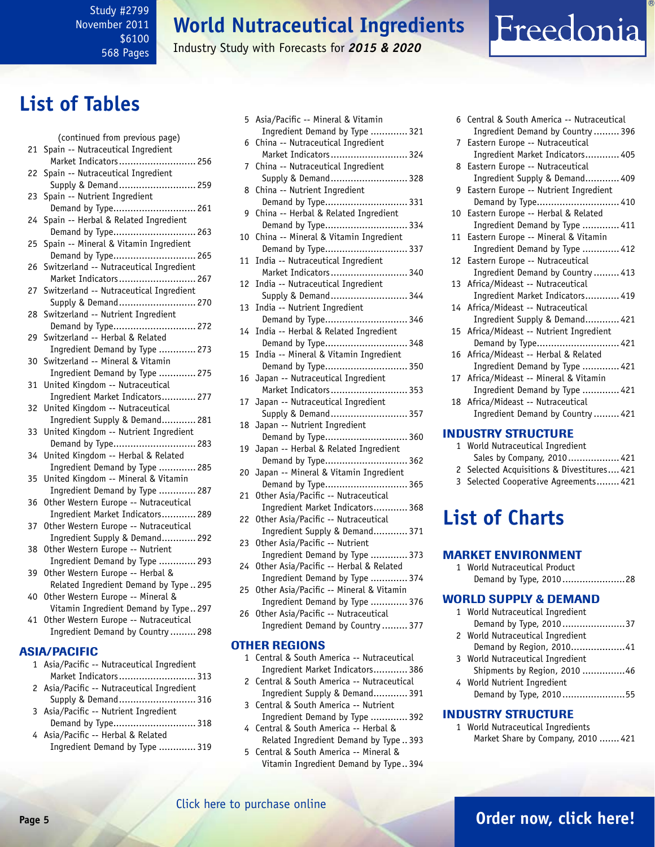## **World Nutraceutical Ingredients**

Industry Study with Forecasts for *2015 & 2020*

## **List of Tables**

|    | (continued from previous page)                                        |
|----|-----------------------------------------------------------------------|
| 21 | Spain -- Nutraceutical Ingredient                                     |
|    | Market Indicators 256                                                 |
| 22 | Spain -- Nutraceutical Ingredient                                     |
|    | Supply & Demand 259                                                   |
| 23 | Spain -- Nutrient Ingredient                                          |
|    | Demand by Type 261                                                    |
| 24 | Spain -- Herbal & Related Ingredient                                  |
|    | Demand by Type 263                                                    |
| 25 | Spain -- Mineral & Vitamin Ingredient                                 |
|    | Demand by Type 265                                                    |
| 26 | Switzerland -- Nutraceutical Ingredient                               |
|    | Market Indicators 267                                                 |
| 27 | Switzerland -- Nutraceutical Ingredient<br>Supply & Demand 270        |
| 28 | Switzerland -- Nutrient Ingredient                                    |
|    | Demand by Type 272                                                    |
| 29 | Switzerland -- Herbal & Related                                       |
|    | Ingredient Demand by Type  273                                        |
| 30 | Switzerland -- Mineral & Vitamin                                      |
|    | Ingredient Demand by Type  275                                        |
| 31 | United Kingdom -- Nutraceutical                                       |
|    | Ingredient Market Indicators 277                                      |
| 32 | United Kingdom -- Nutraceutical                                       |
|    | Ingredient Supply & Demand 281                                        |
| 33 | United Kingdom -- Nutrient Ingredient                                 |
|    | Demand by Type 283                                                    |
| 34 | United Kingdom -- Herbal & Related                                    |
| 35 | Ingredient Demand by Type  285<br>United Kingdom -- Mineral & Vitamin |
|    | Ingredient Demand by Type  287                                        |
| 36 | Other Western Europe -- Nutraceutical                                 |
|    | Ingredient Market Indicators 289                                      |
| 37 | Other Western Europe -- Nutraceutical                                 |
|    | Ingredient Supply & Demand 292                                        |
| 38 | Other Western Europe -- Nutrient                                      |
|    | Ingredient Demand by Type  293                                        |
| 39 | Other Western Europe -- Herbal &                                      |
|    | Related Ingredient Demand by Type  295                                |
| 40 | Other Western Europe -- Mineral &                                     |
|    | Vitamin Ingredient Demand by Type 297                                 |
| 41 | Other Western Europe -- Nutraceutical                                 |
|    | Ingredient Demand by Country  298                                     |
|    | ASIA/PACIFIC                                                          |
| 1  | Asia/Pacific -- Nutraceutical Ingredient                              |
|    | Market Indicators 313                                                 |
| 2  | Asia/Pacific -- Nutraceutical Ingredient                              |
|    | Supply & Demand 316                                                   |
| 3  | Asia/Pacific -- Nutrient Ingredient                                   |
|    | Demand by Type 318                                                    |

| 4 Asia/Pacific -- Herbal & Related |  |
|------------------------------------|--|
| Ingredient Demand by Type  319     |  |

| 5  | Asia/Pacific -- Mineral & Vitamin                                       |
|----|-------------------------------------------------------------------------|
|    | Ingredient Demand by Type  321                                          |
| 6  | China -- Nutraceutical Ingredient                                       |
|    | Market Indicators 324                                                   |
| 7  | China -- Nutraceutical Ingredient                                       |
|    | Supply & Demand 328                                                     |
| 8  | China -- Nutrient Ingredient                                            |
|    | Demand by Type 331                                                      |
| 9  | China -- Herbal & Related Ingredient<br>Demand by Type 334              |
| 10 | China -- Mineral & Vitamin Ingredient                                   |
|    | Demand by Type 337                                                      |
| 11 | India -- Nutraceutical Ingredient                                       |
|    | Market Indicators 340                                                   |
| 12 | India -- Nutraceutical Ingredient                                       |
|    | Supply & Demand 344                                                     |
| 13 | India -- Nutrient Ingredient                                            |
|    | Demand by Type 346                                                      |
| 14 | India -- Herbal & Related Ingredient                                    |
|    | Demand by Type 348                                                      |
| 15 | India -- Mineral & Vitamin Ingredient                                   |
| 16 | Demand by Type 350<br>Japan -- Nutraceutical Ingredient                 |
|    | Market Indicators 353                                                   |
| 17 | Japan -- Nutraceutical Ingredient                                       |
|    | Supply & Demand 357                                                     |
| 18 | Japan -- Nutrient Ingredient                                            |
|    | Demand by Type 360                                                      |
| 19 | Japan -- Herbal & Related Ingredient                                    |
|    | Demand by Type 362                                                      |
| 20 | Japan -- Mineral & Vitamin Ingredient                                   |
|    | Demand by Type 365                                                      |
| 21 | Other Asia/Pacific -- Nutraceutical                                     |
| 22 | Ingredient Market Indicators 368<br>Other Asia/Pacific -- Nutraceutical |
|    | Ingredient Supply & Demand 371                                          |
| 23 | Other Asia/Pacific -- Nutrient                                          |
|    | Ingredient Demand by Type  373                                          |
| 24 | Other Asia/Pacific -- Herbal & Related                                  |
|    | Ingredient Demand by Type  374                                          |
| 25 | Other Asia/Pacific -- Mineral & Vitamin                                 |
|    | Ingredient Demand by Type  376                                          |
| 26 | Other Asia/Pacific -- Nutraceutical                                     |
|    | Ingredient Demand by Country  377                                       |
|    | <b>OTHER REGIONS</b>                                                    |
| 1  | Central & South America -- Nutraceutical                                |
|    | Ingredient Market Indicators 386                                        |
|    | 2 Central & South America -- Nutraceutical                              |

- 2 Central & South America -- Nutraceutical
- Ingredient Supply & Demand............ 391 3 Central & South America -- Nutrient Ingredient Demand by Type ............. 392
- 4 Central & South America -- Herbal & Related Ingredient Demand by Type .. 393
- 5 Central & South America -- Mineral & Vitamin Ingredient Demand by Type.. 394

|             | 6 Central & South America -- Nutraceutical<br>Ingredient Demand by Country  396 |
|-------------|---------------------------------------------------------------------------------|
|             |                                                                                 |
| $7^{\circ}$ | Eastern Europe -- Nutraceutical                                                 |
|             | Ingredient Market Indicators 405                                                |
|             | 8 Eastern Europe -- Nutraceutical                                               |
|             | Ingredient Supply & Demand 409                                                  |
| 9           | Eastern Europe -- Nutrient Ingredient                                           |
|             | Demand by Type 410                                                              |
|             | 10 Eastern Europe -- Herbal & Related                                           |
|             | Ingredient Demand by Type  411                                                  |
|             | 11 Eastern Europe -- Mineral & Vitamin                                          |
|             | Ingredient Demand by Type  412                                                  |
|             | 12 Eastern Europe -- Nutraceutical                                              |
|             | Ingredient Demand by Country  413                                               |
|             | 13 Africa/Mideast -- Nutraceutical                                              |
|             | Ingredient Market Indicators 419                                                |
|             | 14 Africa/Mideast -- Nutraceutical                                              |
|             | Ingredient Supply & Demand 421                                                  |
|             | 15 Africa/Mideast -- Nutrient Ingredient                                        |
|             | Demand by Type 421                                                              |
|             | 16 Africa/Mideast -- Herbal & Related                                           |
|             | Ingredient Demand by Type  421                                                  |
|             | 17 Africa/Mideast -- Mineral & Vitamin                                          |
|             | Ingredient Demand by Type  421                                                  |
|             | 18 Africa/Mideast -- Nutraceutical                                              |
|             | Ingredient Demand by Country  421                                               |
|             |                                                                                 |
|             | <b>INDUSTRY STRUCTURE</b>                                                       |

Freedonia

### **INDUSTRY STRUCTURE**

- 1 World Nutraceutical Ingredient
- Sales by Company, 2010.................. 421
- 2 Selected Acquisitions & Divestitures.... 421
- 3 Selected Cooperative Agreements........ 421

## **List of Charts**

### MARKET ENVIRONMENT

1 World Nutraceutical Product Demand by Type, 2010......................28

### WORLD SUPPLY & DEMAND

|  | 1 World Nutraceutical Ingredient |
|--|----------------------------------|
|  | Demand by Type, 201037           |
|  |                                  |

- 2 World Nutraceutical Ingredient Demand by Region, 2010...................41
- 3 World Nutraceutical Ingredient Shipments by Region, 2010 ...............46
- 4 World Nutrient Ingredient Demand by Type, 2010......................55

### INDUSTRY STRUCTURE

1 World Nutraceutical Ingredients Market Share by Company, 2010 ....... 421

### [Click here to purchase online](http://www.freedoniagroup.com/DocumentDetails.aspx?Referrerid=FM-Bro&StudyID=2799)

### **Page 5 [Order now, click here!](#page-8-0)**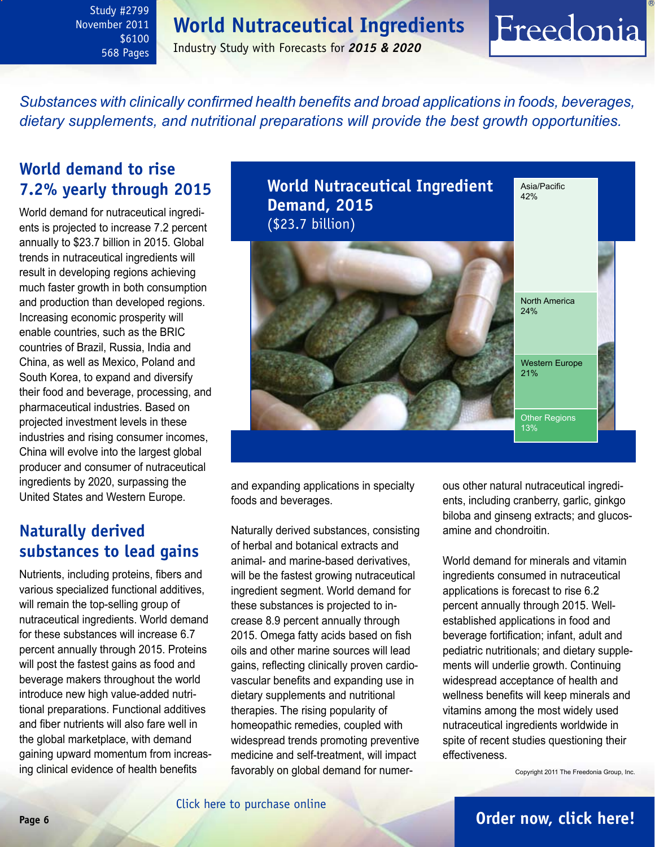### **World Nutraceutical Ingredients**

Industry Study with Forecasts for *2015 & 2020*

<span id="page-5-0"></span>*Substances with clinically confirmed health benefits and broad applications in foods, beverages, dietary supplements, and nutritional preparations will provide the best growth opportunities.*

### **World demand to rise 7.2% yearly through 2015**

World demand for nutraceutical ingredients is projected to increase 7.2 percent annually to \$23.7 billion in 2015. Global trends in nutraceutical ingredients will result in developing regions achieving much faster growth in both consumption and production than developed regions. Increasing economic prosperity will enable countries, such as the BRIC countries of Brazil, Russia, India and China, as well as Mexico, Poland and South Korea, to expand and diversify their food and beverage, processing, and pharmaceutical industries. Based on projected investment levels in these industries and rising consumer incomes, China will evolve into the largest global producer and consumer of nutraceutical ingredients by 2020, surpassing the United States and Western Europe.

### **Naturally derived substances to lead gains**

Nutrients, including proteins, fibers and various specialized functional additives, will remain the top-selling group of nutraceutical ingredients. World demand for these substances will increase 6.7 percent annually through 2015. Proteins will post the fastest gains as food and beverage makers throughout the world introduce new high value-added nutritional preparations. Functional additives and fiber nutrients will also fare well in the global marketplace, with demand gaining upward momentum from increasing clinical evidence of health benefits



and expanding applications in specialty foods and beverages.

Naturally derived substances, consisting of herbal and botanical extracts and animal- and marine-based derivatives, will be the fastest growing nutraceutical ingredient segment. World demand for these substances is projected to increase 8.9 percent annually through 2015. Omega fatty acids based on fish oils and other marine sources will lead gains, reflecting clinically proven cardiovascular benefits and expanding use in dietary supplements and nutritional therapies. The rising popularity of homeopathic remedies, coupled with widespread trends promoting preventive medicine and self-treatment, will impact favorably on global demand for numerous other natural nutraceutical ingredients, including cranberry, garlic, ginkgo biloba and ginseng extracts; and glucosamine and chondroitin.

Freedonia

World demand for minerals and vitamin ingredients consumed in nutraceutical applications is forecast to rise 6.2 percent annually through 2015. Wellestablished applications in food and beverage fortification; infant, adult and pediatric nutritionals; and dietary supplements will underlie growth. Continuing widespread acceptance of health and wellness benefits will keep minerals and vitamins among the most widely used nutraceutical ingredients worldwide in spite of recent studies questioning their effectiveness.

Copyright 2011 The Freedonia Group, Inc.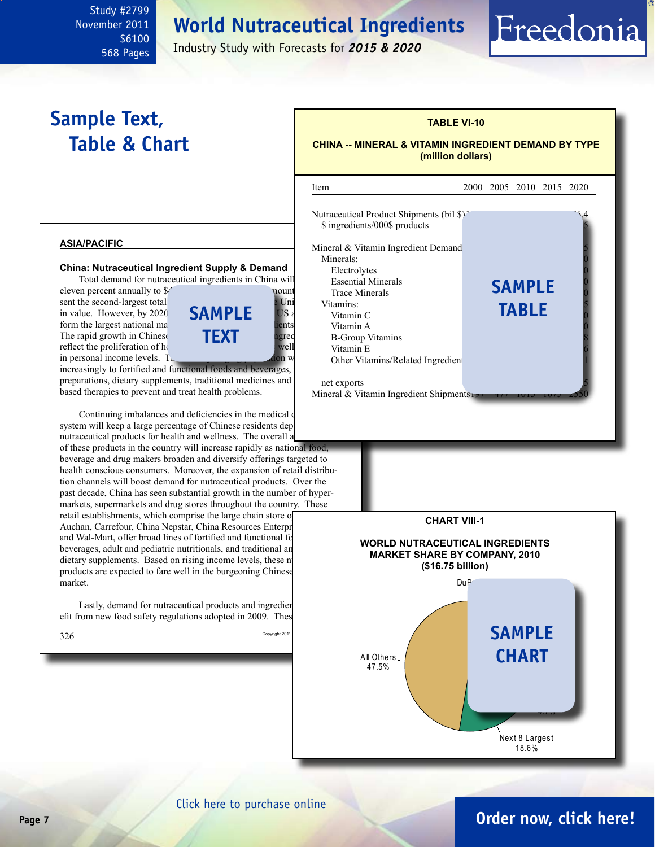## **World Nutraceutical Ingredients**

<span id="page-6-0"></span>Study #2799 November 2011 \$6100 568 Pages

Industry Study with Forecasts for *2015 & 2020*

## **Sample Text, Table & Chart**

## **TABLE VI-10**

#### **CHINA -- MINERAL & VITAMIN INGREDIENT DEMAND BY TYPE (million dollars)**

Freedonia

#### **asia/pacific**

#### **China: Nutraceutical Ingredient Supply & Demand** Total demand for nutraceutical ingredients in China will

eleven percent annually to  $\frac{1}{2}$ . This amount will be a set of  $\frac{1}{2}$  billion in 2015. sent the second-largest total  $\nu$  United States only the United States on  $\nu$  United States on  $\nu$ in value. However, by 2020  $\overline{SAMPLE}$  US form the largest national ma $\frac{1}{2}$  in number of nutral ingredients globally vitamin A The rapid growth in Chinese **TFXT** agree reflect the proliferation of  $h_{\text{t}}$ in personal income levels.  $T<sub>th</sub>$ 



**sample**

**text**

preparations, dietary supplements, traditional medicines and based therapies to prevent and treat health problems.

Continuing imbalances and deficiencies in the medical system will keep a large percentage of Chinese residents dep nutraceutical products for health and wellness. The overall a of these products in the country will increase rapidly as national food, beverage and drug makers broaden and diversify offerings targeted to health conscious consumers. Moreover, the expansion of retail distribution channels will boost demand for nutraceutical products. Over the past decade, China has seen substantial growth in the number of hyper-

markets, supermarkets and drug stores throughout the country. These retail establishments, which comprise the large chain store of Auchan, Carrefour, China Nepstar, China Resources Enterpr and Wal-Mart, offer broad lines of fortified and functional fo beverages, adult and pediatric nutritionals, and traditional an dietary supplements. Based on rising income levels, these nutral extends products are expected to fare well in the burgeoning Chinese market.

Lastly, demand for nutraceutical products and ingredient efit from new food safety regulations adopted in 2009. These





### [Click here to purchase online](http://www.freedoniagroup.com/DocumentDetails.aspx?Referrerid=FM-Bro&StudyID=2799)

### **Page 7 [Order now, click here!](#page-8-0)**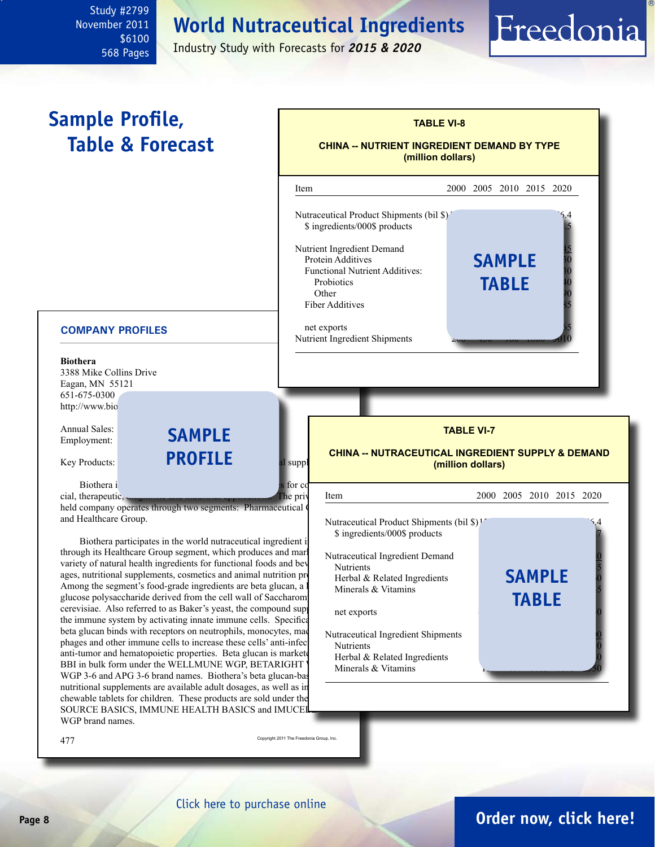**World Nutraceutical Ingredients**

November 2011 \$6100 568 Pages

Study #2799

Industry Study with Forecasts for *2015 & 2020*

<span id="page-7-0"></span>

 $477$  Copyright 2011 The Freedonia Group, Inc.

WGP brand names.

[Click here to purchase online](http://www.freedoniagroup.com/DocumentDetails.aspx?Referrerid=FM-Bro&StudyID=2799)

### **Page 8 [Order now, click here!](#page-8-0)**

Freedonia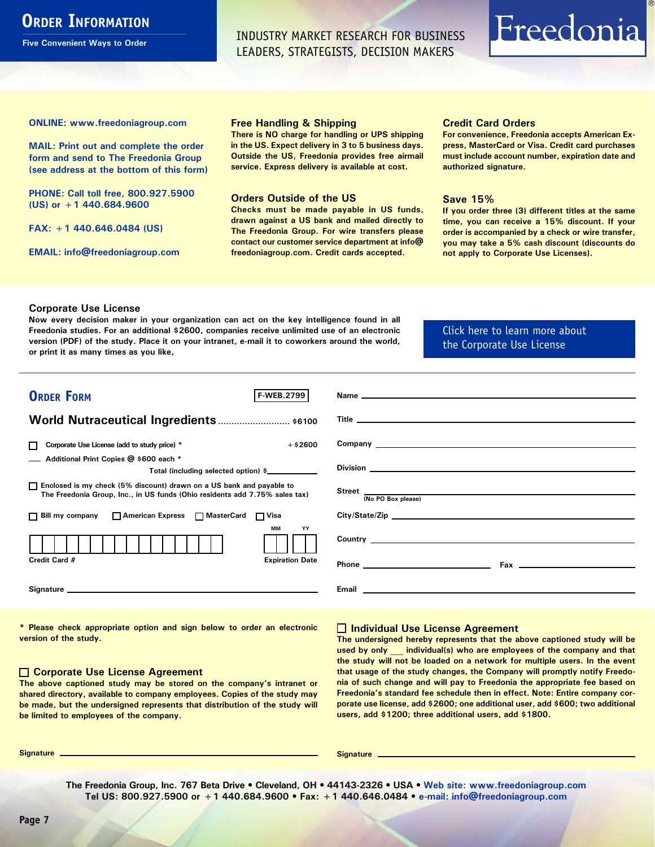### <span id="page-8-0"></span>**ORDER INFORMATION**

**Five Convenient Ways to Order**

INDUSTRY MARKET RESEARCH FOR BUSINESS LEADERS, STRATEGISTS, DECISION MAKERS

# Freedonia

**ONLINE: [www.freedoniagroup.com](http://www.freedoniagroup.com/DocumentDetails.aspx?Referrerid=FM-Bro&StudyID=2799)**

**MAIL: Print out and complete the order form and send to The Freedonia Group (see address at the bottom of this form)**

**PHONE: Call toll free, 800.927.5900 (US) or +1 440.684.9600**

**FAX: +1 440.646.0484 (US)**

**EMAIL: [info@freedoniagroup.com](mailto:info@freedoniagroup.com)**

#### **Free Handling & Shipping**

**There is NO charge for handling or UPS shipping in the US. Expect delivery in 3 to 5 business days. Outside the US, Freedonia provides free airmail service. Express delivery is available at cost.**

#### **Orders Outside of the US**

**Checks must be made payable in US funds, drawn against a US bank and mailed directly to The Freedonia Group. For wire transfers please contact our customer service department at info@ freedoniagroup.com. Credit cards accepted.**

#### **Credit Card Orders**

**For convenience, Freedonia accepts American Express, MasterCard or Visa. Credit card purchases must include account number, expiration date and authorized signature.**

#### **Save 15%**

**If you order three (3) different titles at the same time, you can receive a 15% discount. If your order is accompanied by a check or wire transfer, you may take a 5% cash discount (discounts do not apply to Corporate Use Licenses).**

#### **Corporate Use License**

**Now every decision maker in your organization can act on the key intelligence found in all Freedonia studies. For an additional \$2600, companies receive unlimited use of an electronic version (PDF) of the study. Place it on your intranet, e-mail it to coworkers around the world, or print it as many times as you like,** 

[Click here to learn more about](http://www.freedoniagroup.com/pdf/FreedoniaCULBro.pdf)  [the Corporate Use License](http://www.freedoniagroup.com/pdf/FreedoniaCULBro.pdf)

| <b>ORDER FORM</b><br><b>F-WEB.2799</b>                                                                                                                |                                                     |
|-------------------------------------------------------------------------------------------------------------------------------------------------------|-----------------------------------------------------|
|                                                                                                                                                       |                                                     |
| World Nutraceutical Ingredients  \$6100                                                                                                               |                                                     |
|                                                                                                                                                       |                                                     |
| Corporate Use License (add to study price) *<br>$+$ \$2600                                                                                            |                                                     |
| Additional Print Copies @ \$600 each *                                                                                                                |                                                     |
| Total (including selected option) \$                                                                                                                  |                                                     |
| □ Enclosed is my check (5% discount) drawn on a US bank and payable to<br>The Freedonia Group, Inc., in US funds (Ohio residents add 7.75% sales tax) | Street <u>(No PO Box please)</u>                    |
|                                                                                                                                                       |                                                     |
| □ Bill my company □ American Express □ MasterCard □ Visa                                                                                              | City/State/Zip                                      |
| MМ<br>YY                                                                                                                                              |                                                     |
| <b>Expiration Date</b><br>Credit Card #                                                                                                               |                                                     |
|                                                                                                                                                       | <b>Email Advisory Community Community Community</b> |

**\* Please check appropriate option and sign below to order an electronic version of the study.**

#### **Corporate Use License Agreement**

**The above captioned study may be stored on the company's intranet or shared directory, available to company employees. Copies of the study may be made, but the undersigned represents that distribution of the study will be limited to employees of the company.**

#### **Individual Use License Agreement**

**The undersigned hereby represents that the above captioned study will be used by only \_\_\_ individual(s) who are employees of the company and that the study will not be loaded on a network for multiple users. In the event that usage of the study changes, the Company will promptly notify Freedonia of such change and will pay to Freedonia the appropriate fee based on Freedonia's standard fee schedule then in effect. Note: Entire company corporate use license, add \$2600; one additional user, add \$600; two additional users, add \$1200; three additional users, add \$1800.**

**Signature Signature**

**The Freedonia Group, Inc. 767 Beta Drive • Cleveland, OH • 44143-2326 • USA • [Web site: www.freedoniagroup.com](http://www.freedoniagroup.com/Home.aspx?ReferrerId=FM-Bro) Tel US: 800.927.5900 or +1 440.684.9600 • Fax: +1 440.646.0484 • [e-mail: info@freedoniagroup.com](mailto:info@freedoniagroup.com)**